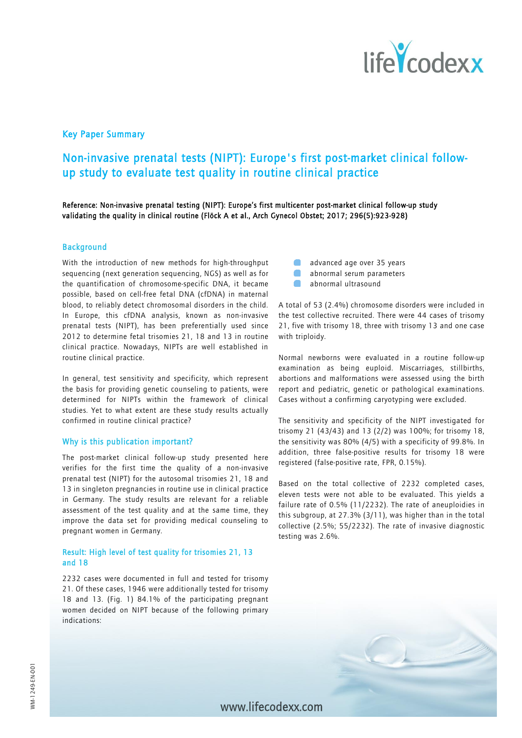

## Key Paper Summary

# Non-invasive prenatal tests (NIPT): Europe's first post-market clinical followup study to evaluate test quality in routine clinical practice

Reference: Non-invasive prenatal testing (NIPT): Europe's first multicenter post-market clinical follow-up study validating the quality in clinical routine (Flöck A et al., Arch Gynecol Obstet; 2017; 296(5):923-928)

### **Background**

With the introduction of new methods for high-throughput sequencing (next generation sequencing, NGS) as well as for the quantification of chromosome-specific DNA, it became possible, based on cell-free fetal DNA (cfDNA) in maternal blood, to reliably detect chromosomal disorders in the child. In Europe, this cfDNA analysis, known as non-invasive prenatal tests (NIPT), has been preferentially used since 2012 to determine fetal trisomies 21, 18 and 13 in routine clinical practice. Nowadays, NIPTs are well established in routine clinical practice.

In general, test sensitivity and specificity, which represent the basis for providing genetic counseling to patients, were determined for NIPTs within the framework of clinical studies. Yet to what extent are these study results actually confirmed in routine clinical practice?

#### Why is this publication important?

The post-market clinical follow-up study presented here verifies for the first time the quality of a non-invasive prenatal test (NIPT) for the autosomal trisomies 21, 18 and 13 in singleton pregnancies in routine use in clinical practice in Germany. The study results are relevant for a reliable assessment of the test quality and at the same time, they improve the data set for providing medical counseling to pregnant women in Germany.

## Result: High level of test quality for trisomies 21, 13 and 18

2232 cases were documented in full and tested for trisomy 21. Of these cases, 1946 were additionally tested for trisomy 18 and 13. (Fig. 1) 84.1% of the participating pregnant women decided on NIPT because of the following primary indications:

- advanced age over 35 years
	- abnormal serum parameters
- abnormal ultrasound

A total of 53 (2.4%) chromosome disorders were included in the test collective recruited. There were 44 cases of trisomy 21, five with trisomy 18, three with trisomy 13 and one case with triploidy.

Normal newborns were evaluated in a routine follow-up examination as being euploid. Miscarriages, stillbirths, abortions and malformations were assessed using the birth report and pediatric, genetic or pathological examinations. Cases without a confirming caryotyping were excluded.

The sensitivity and specificity of the NIPT investigated for trisomy 21 (43/43) and 13 (2/2) was 100%; for trisomy 18, the sensitivity was 80% (4/5) with a specificity of 99.8%. In addition, three false-positive results for trisomy 18 were registered (false-positive rate, FPR, 0.15%).

Based on the total collective of 2232 completed cases, eleven tests were not able to be evaluated. This yields a failure rate of 0.5% (11/2232). The rate of aneuploidies in this subgroup, at 27.3% (3/11), was higher than in the total collective (2.5%; 55/2232). The rate of invasive diagnostic testing was 2.6%.



www lifecodexx com